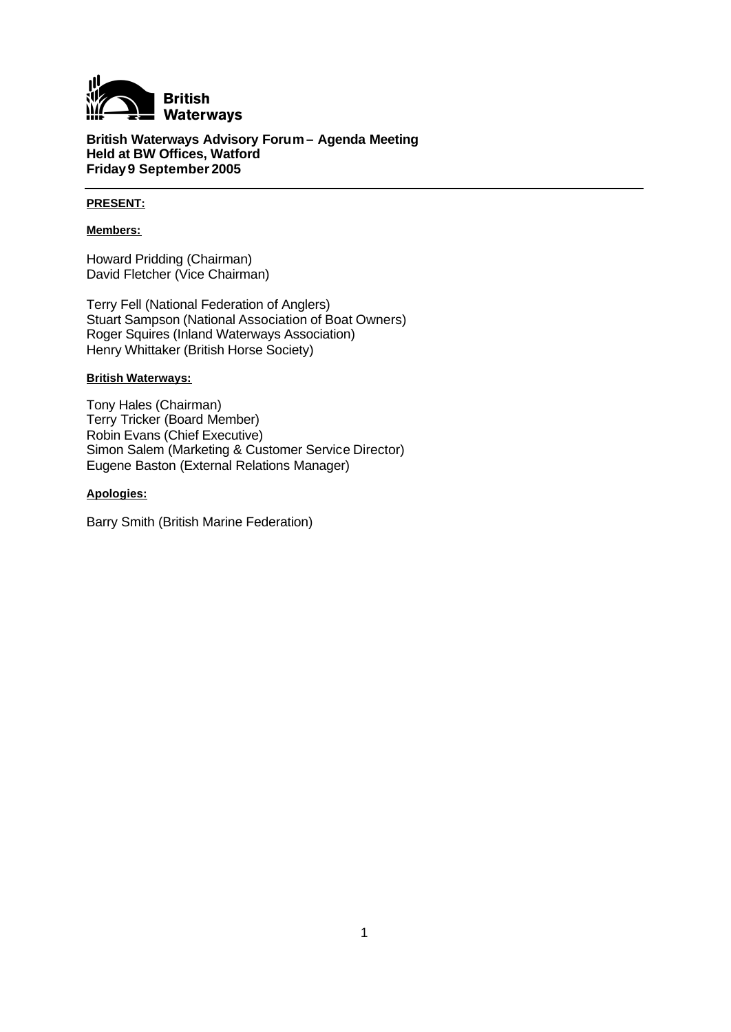

**British Waterways Advisory Forum – Agenda Meeting Held at BW Offices, Watford Friday9 September 2005**

## **PRESENT:**

#### **Members:**

Howard Pridding (Chairman) David Fletcher (Vice Chairman)

Terry Fell (National Federation of Anglers) Stuart Sampson (National Association of Boat Owners) Roger Squires (Inland Waterways Association) Henry Whittaker (British Horse Society)

#### **British Waterways:**

Tony Hales (Chairman) Terry Tricker (Board Member) Robin Evans (Chief Executive) Simon Salem (Marketing & Customer Service Director) Eugene Baston (External Relations Manager)

#### **Apologies:**

Barry Smith (British Marine Federation)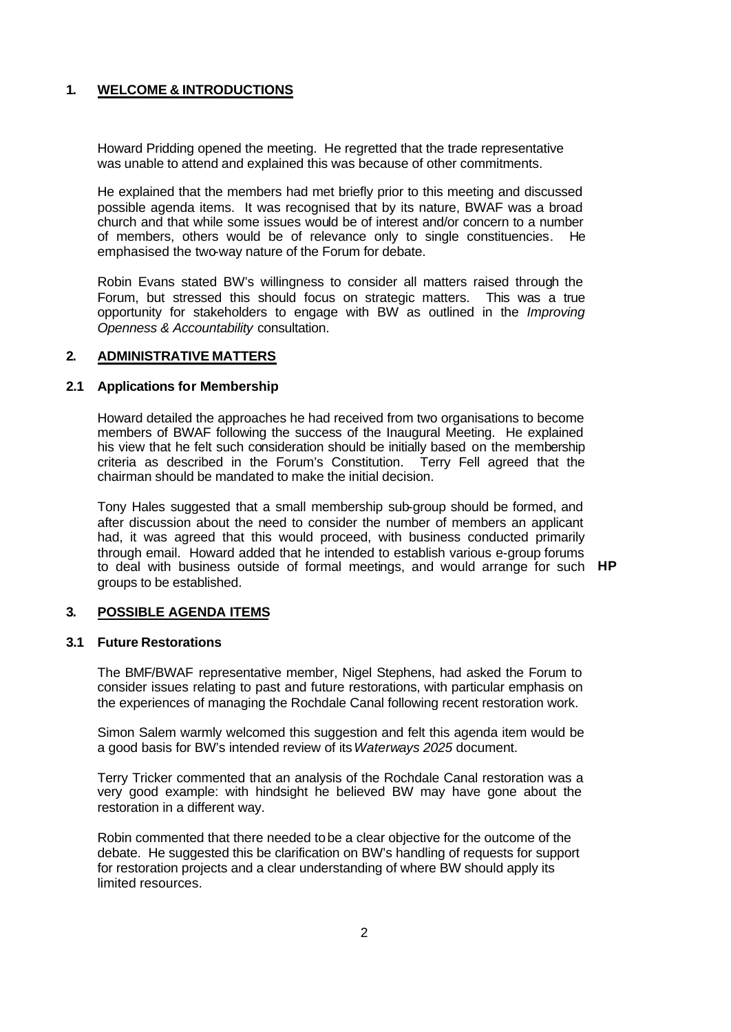# **1. WELCOME & INTRODUCTIONS**

Howard Pridding opened the meeting. He regretted that the trade representative was unable to attend and explained this was because of other commitments.

He explained that the members had met briefly prior to this meeting and discussed possible agenda items. It was recognised that by its nature, BWAF was a broad church and that while some issues would be of interest and/or concern to a number of members, others would be of relevance only to single constituencies. He emphasised the two-way nature of the Forum for debate.

Robin Evans stated BW's willingness to consider all matters raised through the Forum, but stressed this should focus on strategic matters. This was a true opportunity for stakeholders to engage with BW as outlined in the *Improving Openness & Accountability* consultation.

# **2. ADMINISTRATIVE MATTERS**

## **2.1 Applications for Membership**

Howard detailed the approaches he had received from two organisations to become members of BWAF following the success of the Inaugural Meeting. He explained his view that he felt such consideration should be initially based on the membership criteria as described in the Forum's Constitution. Terry Fell agreed that the chairman should be mandated to make the initial decision.

Tony Hales suggested that a small membership sub-group should be formed, and after discussion about the need to consider the number of members an applicant had, it was agreed that this would proceed, with business conducted primarily through email. Howard added that he intended to establish various e-group forums to deal with business outside of formal meetings, and would arrange for such **HP** groups to be established.

# **3. POSSIBLE AGENDA ITEMS**

#### **3.1 Future Restorations**

The BMF/BWAF representative member, Nigel Stephens, had asked the Forum to consider issues relating to past and future restorations, with particular emphasis on the experiences of managing the Rochdale Canal following recent restoration work.

Simon Salem warmly welcomed this suggestion and felt this agenda item would be a good basis for BW's intended review of its *Waterways 2025* document.

Terry Tricker commented that an analysis of the Rochdale Canal restoration was a very good example: with hindsight he believed BW may have gone about the restoration in a different way.

Robin commented that there needed to be a clear objective for the outcome of the debate. He suggested this be clarification on BW's handling of requests for support for restoration projects and a clear understanding of where BW should apply its limited resources.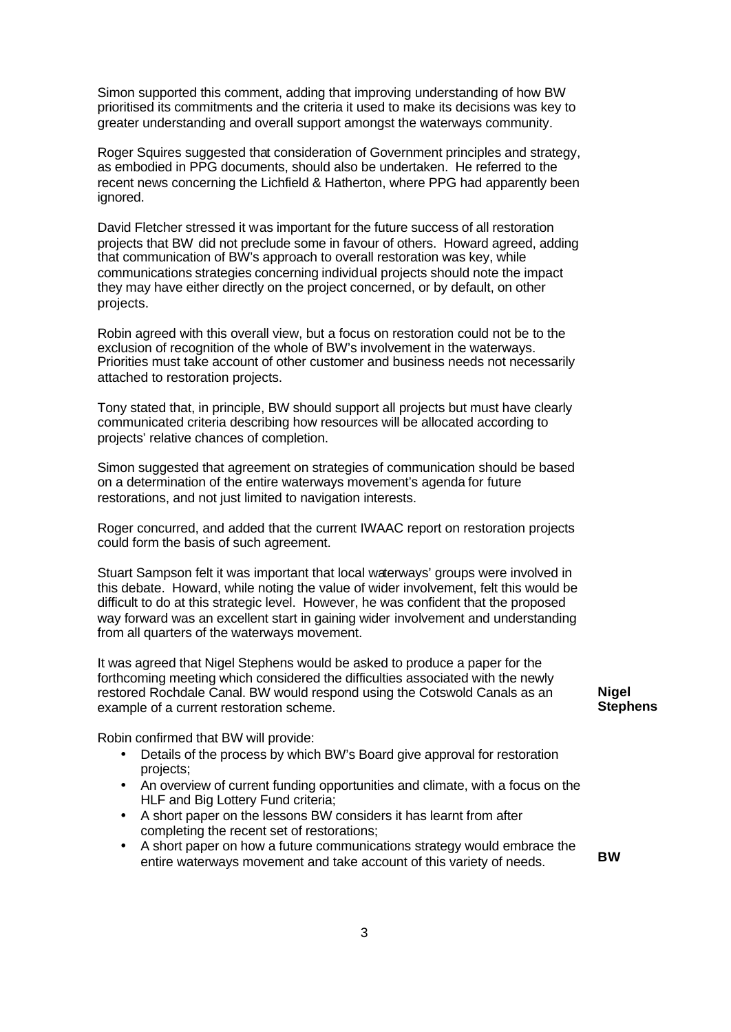Simon supported this comment, adding that improving understanding of how BW prioritised its commitments and the criteria it used to make its decisions was key to greater understanding and overall support amongst the waterways community.

Roger Squires suggested that consideration of Government principles and strategy, as embodied in PPG documents, should also be undertaken. He referred to the recent news concerning the Lichfield & Hatherton, where PPG had apparently been ignored.

David Fletcher stressed it was important for the future success of all restoration projects that BW did not preclude some in favour of others. Howard agreed, adding that communication of BW's approach to overall restoration was key, while communications strategies concerning individual projects should note the impact they may have either directly on the project concerned, or by default, on other projects.

Robin agreed with this overall view, but a focus on restoration could not be to the exclusion of recognition of the whole of BW's involvement in the waterways. Priorities must take account of other customer and business needs not necessarily attached to restoration projects.

Tony stated that, in principle, BW should support all projects but must have clearly communicated criteria describing how resources will be allocated according to projects' relative chances of completion.

Simon suggested that agreement on strategies of communication should be based on a determination of the entire waterways movement's agenda for future restorations, and not just limited to navigation interests.

Roger concurred, and added that the current IWAAC report on restoration projects could form the basis of such agreement.

Stuart Sampson felt it was important that local waterways' groups were involved in this debate. Howard, while noting the value of wider involvement, felt this would be difficult to do at this strategic level. However, he was confident that the proposed way forward was an excellent start in gaining wider involvement and understanding from all quarters of the waterways movement.

It was agreed that Nigel Stephens would be asked to produce a paper for the forthcoming meeting which considered the difficulties associated with the newly restored Rochdale Canal. BW would respond using the Cotswold Canals as an example of a current restoration scheme.

**Nigel Stephens**

Robin confirmed that BW will provide:

- Details of the process by which BW's Board give approval for restoration projects;
- An overview of current funding opportunities and climate, with a focus on the HLF and Big Lottery Fund criteria;
- A short paper on the lessons BW considers it has learnt from after completing the recent set of restorations;
- A short paper on how a future communications strategy would embrace the entire waterways movement and take account of this variety of needs. **BW**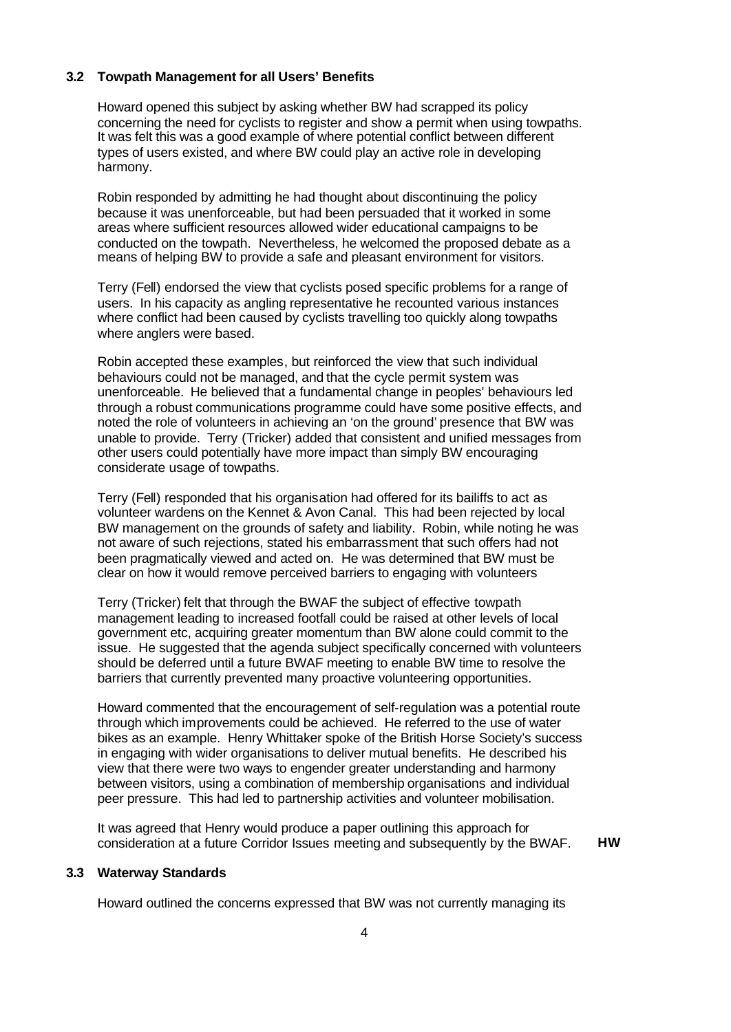## **3.2 Towpath Management for all Users' Benefits**

Howard opened this subject by asking whether BW had scrapped its policy concerning the need for cyclists to register and show a permit when using towpaths. It was felt this was a good example of where potential conflict between different types of users existed, and where BW could play an active role in developing harmony.

Robin responded by admitting he had thought about discontinuing the policy because it was unenforceable, but had been persuaded that it worked in some areas where sufficient resources allowed wider educational campaigns to be conducted on the towpath. Nevertheless, he welcomed the proposed debate as a means of helping BW to provide a safe and pleasant environment for visitors.

Terry (Fell) endorsed the view that cyclists posed specific problems for a range of users. In his capacity as angling representative he recounted various instances where conflict had been caused by cyclists travelling too quickly along towpaths where anglers were based.

Robin accepted these examples, but reinforced the view that such individual behaviours could not be managed, and that the cycle permit system was unenforceable. He believed that a fundamental change in peoples' behaviours led through a robust communications programme could have some positive effects, and noted the role of volunteers in achieving an 'on the ground' presence that BW was unable to provide. Terry (Tricker) added that consistent and unified messages from other users could potentially have more impact than simply BW encouraging considerate usage of towpaths.

Terry (Fell) responded that his organisation had offered for its bailiffs to act as volunteer wardens on the Kennet & Avon Canal. This had been rejected by local BW management on the grounds of safety and liability. Robin, while noting he was not aware of such rejections, stated his embarrassment that such offers had not been pragmatically viewed and acted on. He was determined that BW must be clear on how it would remove perceived barriers to engaging with volunteers

Terry (Tricker) felt that through the BWAF the subject of effective towpath management leading to increased footfall could be raised at other levels of local government etc, acquiring greater momentum than BW alone could commit to the issue. He suggested that the agenda subject specifically concerned with volunteers should be deferred until a future BWAF meeting to enable BW time to resolve the barriers that currently prevented many proactive volunteering opportunities.

Howard commented that the encouragement of self-regulation was a potential route through which improvements could be achieved. He referred to the use of water bikes as an example. Henry Whittaker spoke of the British Horse Society's success in engaging with wider organisations to deliver mutual benefits. He described his view that there were two ways to engender greater understanding and harmony between visitors, using a combination of membership organisations and individual peer pressure. This had led to partnership activities and volunteer mobilisation.

It was agreed that Henry would produce a paper outlining this approach for consideration at a future Corridor Issues meeting and subsequently by the BWAF. **HW**

#### **3.3 Waterway Standards**

Howard outlined the concerns expressed that BW was not currently managing its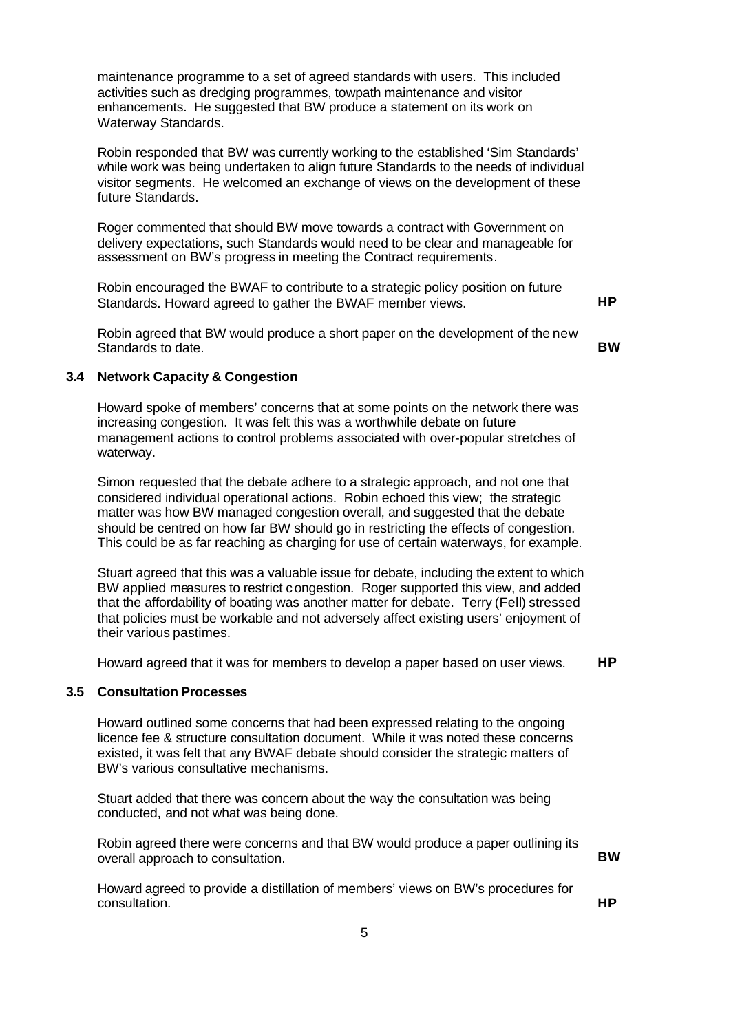maintenance programme to a set of agreed standards with users. This included activities such as dredging programmes, towpath maintenance and visitor enhancements. He suggested that BW produce a statement on its work on Waterway Standards.

Robin responded that BW was currently working to the established 'Sim Standards' while work was being undertaken to align future Standards to the needs of individual visitor segments. He welcomed an exchange of views on the development of these future Standards.

Roger commented that should BW move towards a contract with Government on delivery expectations, such Standards would need to be clear and manageable for assessment on BW's progress in meeting the Contract requirements.

Robin encouraged the BWAF to contribute to a strategic policy position on future Standards. Howard agreed to gather the BWAF member views. **HP**

Robin agreed that BW would produce a short paper on the development of the new Standards to date. **BW** 

# **3.4 Network Capacity & Congestion**

Howard spoke of members' concerns that at some points on the network there was increasing congestion. It was felt this was a worthwhile debate on future management actions to control problems associated with over-popular stretches of waterway.

Simon requested that the debate adhere to a strategic approach, and not one that considered individual operational actions. Robin echoed this view; the strategic matter was how BW managed congestion overall, and suggested that the debate should be centred on how far BW should go in restricting the effects of congestion. This could be as far reaching as charging for use of certain waterways, for example.

Stuart agreed that this was a valuable issue for debate, including the extent to which BW applied measures to restrict congestion. Roger supported this view, and added that the affordability of boating was another matter for debate. Terry (Fell) stressed that policies must be workable and not adversely affect existing users' enjoyment of their various pastimes.

Howard agreed that it was for members to develop a paper based on user views. **HP**

# **3.5 Consultation Processes**

Howard outlined some concerns that had been expressed relating to the ongoing licence fee & structure consultation document. While it was noted these concerns existed, it was felt that any BWAF debate should consider the strategic matters of BW's various consultative mechanisms.

Stuart added that there was concern about the way the consultation was being conducted, and not what was being done.

Robin agreed there were concerns and that BW would produce a paper outlining its overall approach to consultation.

Howard agreed to provide a distillation of members' views on BW's procedures for consultation. **HP**